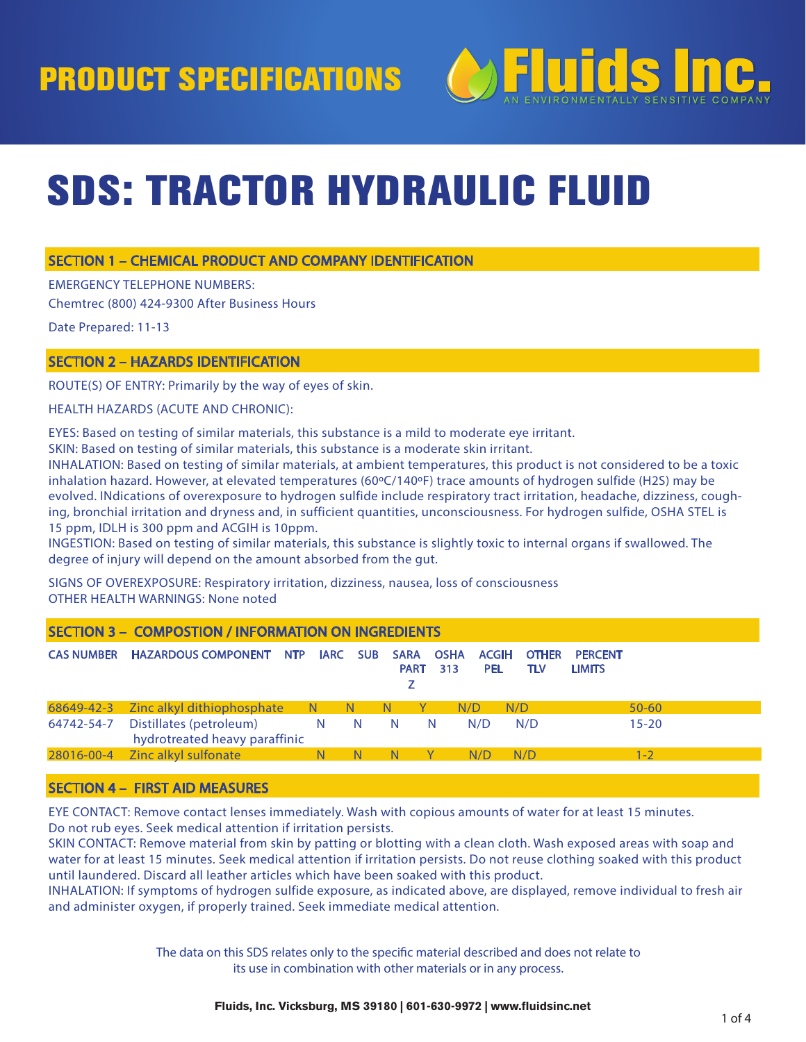# PRODUCT SPECIFICATIONS



# SDS: TRACTOR HYDRAULIC FLUID

### SECTION 1 – CHEMICAL PRODUCT AND COMPANY IDENTIFICATION

EMERGENCY TELEPHONE NUMBERS:

Chemtrec (800) 424-9300 After Business Hours

Date Prepared: 11-13

### SECTION 2 – HAZARDS IDENTIFICATION

ROUTE(S) OF ENTRY: Primarily by the way of eyes of skin.

HEALTH HAZARDS (ACUTE AND CHRONIC):

EYES: Based on testing of similar materials, this substance is a mild to moderate eye irritant.

SKIN: Based on testing of similar materials, this substance is a moderate skin irritant.

INHALATION: Based on testing of similar materials, at ambient temperatures, this product is not considered to be a toxic inhalation hazard. However, at elevated temperatures (60ºC/140ºF) trace amounts of hydrogen sulfide (H2S) may be evolved. INdications of overexposure to hydrogen sulfide include respiratory tract irritation, headache, dizziness, coughing, bronchial irritation and dryness and, in sufficient quantities, unconsciousness. For hydrogen sulfide, OSHA STEL is 15 ppm, IDLH is 300 ppm and ACGIH is 10ppm.

INGESTION: Based on testing of similar materials, this substance is slightly toxic to internal organs if swallowed. The degree of injury will depend on the amount absorbed from the gut.

SIGNS OF OVEREXPOSURE: Respiratory irritation, dizziness, nausea, loss of consciousness OTHER HEALTH WARNINGS: None noted

| SECTION 3 - COMPOSTION / INFORMATION ON INGREDIENTS |                                                          |    |     |                            |                    |                            |                     |                                 |           |
|-----------------------------------------------------|----------------------------------------------------------|----|-----|----------------------------|--------------------|----------------------------|---------------------|---------------------------------|-----------|
| <b>CAS NUMBER</b>                                   | <b>HAZARDOUS COMPONENT NTP IARC SUB</b>                  |    |     | <b>SARA</b><br><b>PART</b> | <b>OSHA</b><br>313 | <b>ACGIH</b><br><b>PEL</b> | <b>OTHER</b><br>TLV | <b>PERCENT</b><br><b>LIMITS</b> |           |
|                                                     | 68649-42-3 Zinc alkyl dithiophosphate N N                |    | – N |                            | N/D                |                            | N/D                 |                                 | $50 - 60$ |
| 64742-54-7                                          | Distillates (petroleum)<br>hydrotreated heavy paraffinic | N. | N   | -N                         | <sup>N</sup>       | N/D                        | N/D                 |                                 | $15 - 20$ |
| 28016-00-4                                          | <b>Example 2</b> Zinc alkyl sulfonate                    |    | - N | <b>N</b>                   |                    | N/D                        | N/D                 |                                 | 1 - 2     |
|                                                     |                                                          |    |     |                            |                    |                            |                     |                                 |           |

### SECTION 4 – FIRST AID MEASURES

EYE CONTACT: Remove contact lenses immediately. Wash with copious amounts of water for at least 15 minutes. Do not rub eyes. Seek medical attention if irritation persists.

SKIN CONTACT: Remove material from skin by patting or blotting with a clean cloth. Wash exposed areas with soap and water for at least 15 minutes. Seek medical attention if irritation persists. Do not reuse clothing soaked with this product until laundered. Discard all leather articles which have been soaked with this product.

INHALATION: If symptoms of hydrogen sulfide exposure, as indicated above, are displayed, remove individual to fresh air and administer oxygen, if properly trained. Seek immediate medical attention.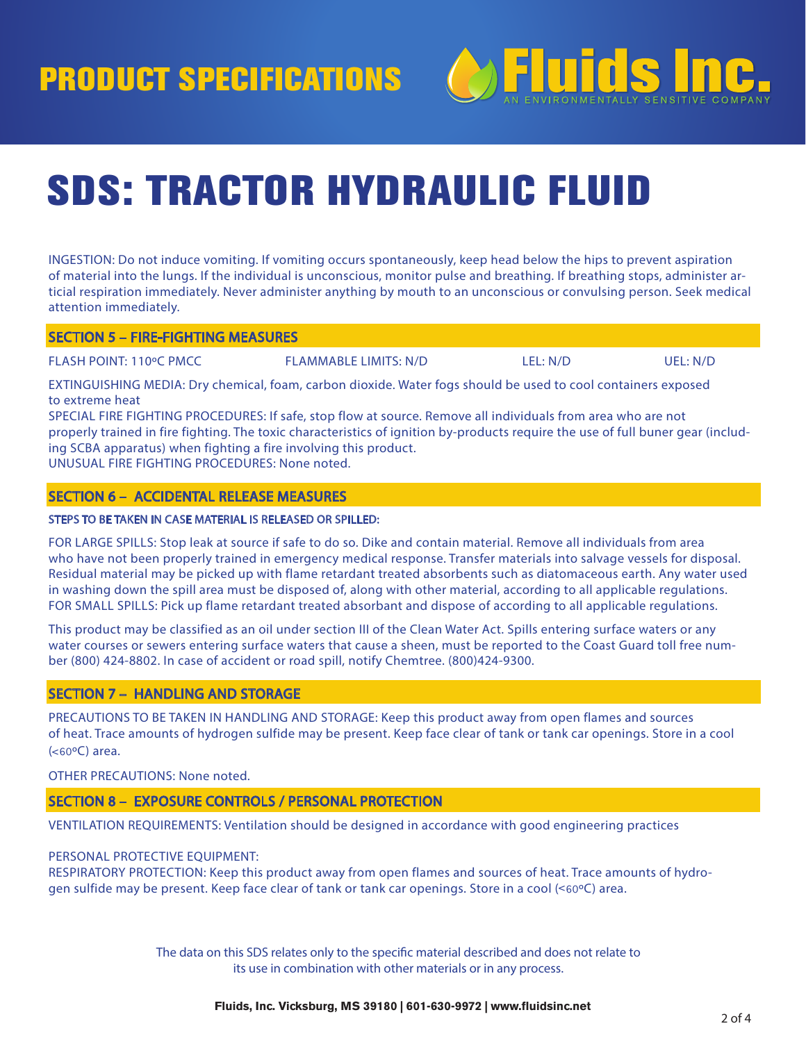

# SDS: TRACTOR HYDRAULIC FLUID

INGESTION: Do not induce vomiting. If vomiting occurs spontaneously, keep head below the hips to prevent aspiration of material into the lungs. If the individual is unconscious, monitor pulse and breathing. If breathing stops, administer articial respiration immediately. Never administer anything by mouth to an unconscious or convulsing person. Seek medical attention immediately.

### SECTION 5 – FIRE-FIGHTING MEASURES

FLASH POINT: 110ºC PMCC FLAMMABLE LIMITS: N/D LEL: N/D UEL: N/D

EXTINGUISHING MEDIA: Dry chemical, foam, carbon dioxide. Water fogs should be used to cool containers exposed to extreme heat

SPECIAL FIRE FIGHTING PROCEDURES: If safe, stop flow at source. Remove all individuals from area who are not properly trained in fire fighting. The toxic characteristics of ignition by-products require the use of full buner gear (including SCBA apparatus) when fighting a fire involving this product. UNUSUAL FIRE FIGHTING PROCEDURES: None noted.

# SECTION 6 – ACCIDENTAL RELEASE MEASURES

### STEPS TO BE TAKEN IN CASE MATERIAL IS RELEASED OR SPILLED:

FOR LARGE SPILLS: Stop leak at source if safe to do so. Dike and contain material. Remove all individuals from area who have not been properly trained in emergency medical response. Transfer materials into salvage vessels for disposal. Residual material may be picked up with flame retardant treated absorbents such as diatomaceous earth. Any water used in washing down the spill area must be disposed of, along with other material, according to all applicable regulations. FOR SMALL SPILLS: Pick up flame retardant treated absorbant and dispose of according to all applicable regulations.

This product may be classified as an oil under section III of the Clean Water Act. Spills entering surface waters or any water courses or sewers entering surface waters that cause a sheen, must be reported to the Coast Guard toll free number (800) 424-8802. In case of accident or road spill, notify Chemtree. (800)424-9300.

#### SECTION 7 – HANDLING AND STORAGE

PRECAUTIONS TO BE TAKEN IN HANDLING AND STORAGE: Keep this product away from open flames and sources of heat. Trace amounts of hydrogen sulfide may be present. Keep face clear of tank or tank car openings. Store in a cool ( ˂60ºC) area.

OTHER PRECAUTIONS: None noted.

#### SECTION 8 – EXPOSURE CONTROLS / PERSONAL PROTECTION

VENTILATION REQUIREMENTS: Ventilation should be designed in accordance with good engineering practices

#### PERSONAL PROTECTIVE EQUIPMENT:

RESPIRATORY PROTECTION: Keep this product away from open flames and sources of heat. Trace amounts of hydrogen sulfide may be present. Keep face clear of tank or tank car openings. Store in a cool (˂60ºC) area.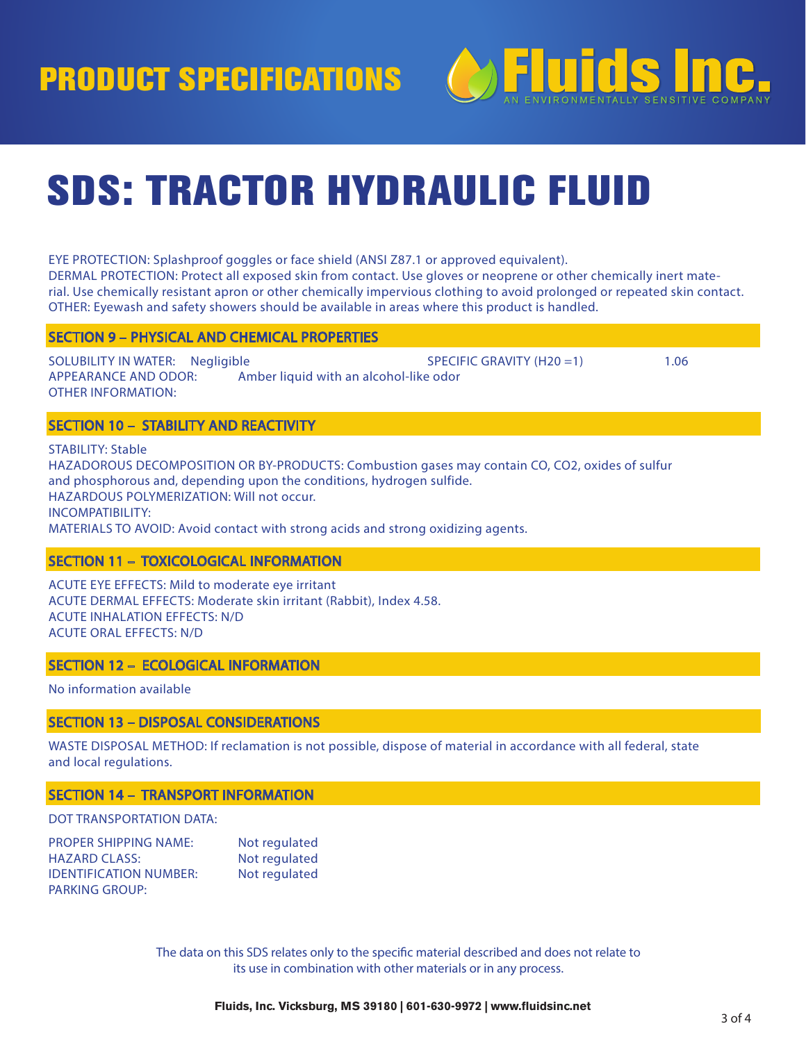PRODUCT SPECIFICATIONS



# SDS: TRACTOR HYDRAULIC FLUID

EYE PROTECTION: Splashproof goggles or face shield (ANSI Z87.1 or approved equivalent). DERMAL PROTECTION: Protect all exposed skin from contact. Use gloves or neoprene or other chemically inert material. Use chemically resistant apron or other chemically impervious clothing to avoid prolonged or repeated skin contact. OTHER: Eyewash and safety showers should be available in areas where this product is handled.

### SECTION 9 – PHYSICAL AND CHEMICAL PROPERTIES

SOLUBILITY IN WATER: Negligible SPECIFIC GRAVITY (H20 = 1) 206 APPEARANCE AND ODOR: Amber liquid with an alcohol-like odor OTHER INFORMATION:

# SECTION 10 – STABILITY AND REACTIVITY

STABILITY: Stable HAZADOROUS DECOMPOSITION OR BY-PRODUCTS: Combustion gases may contain CO, CO2, oxides of sulfur and phosphorous and, depending upon the conditions, hydrogen sulfide. HAZARDOUS POLYMERIZATION: Will not occur. INCOMPATIBILITY: MATERIALS TO AVOID: Avoid contact with strong acids and strong oxidizing agents.

# SECTION 11 – TOXICOLOGICAL INFORMATION

ACUTE EYE EFFECTS: Mild to moderate eye irritant ACUTE DERMAL EFFECTS: Moderate skin irritant (Rabbit), Index 4.58. ACUTE INHALATION EFFECTS: N/D ACUTE ORAL EFFECTS: N/D

# SECTION 12 – ECOLOGICAL INFORMATION

No information available

### SECTION 13 – DISPOSAL CONSIDERATIONS

WASTE DISPOSAL METHOD: If reclamation is not possible, dispose of material in accordance with all federal, state and local regulations.

### SECTION 14 – TRANSPORT INFORMATION

# DOT TRANSPORTATION DATA:

| <b>PROPER SHIPPING NAME:</b>  | Not regulated |
|-------------------------------|---------------|
| <b>HAZARD CLASS:</b>          | Not regulated |
| <b>IDENTIFICATION NUMBER:</b> | Not regulated |
| <b>PARKING GROUP:</b>         |               |